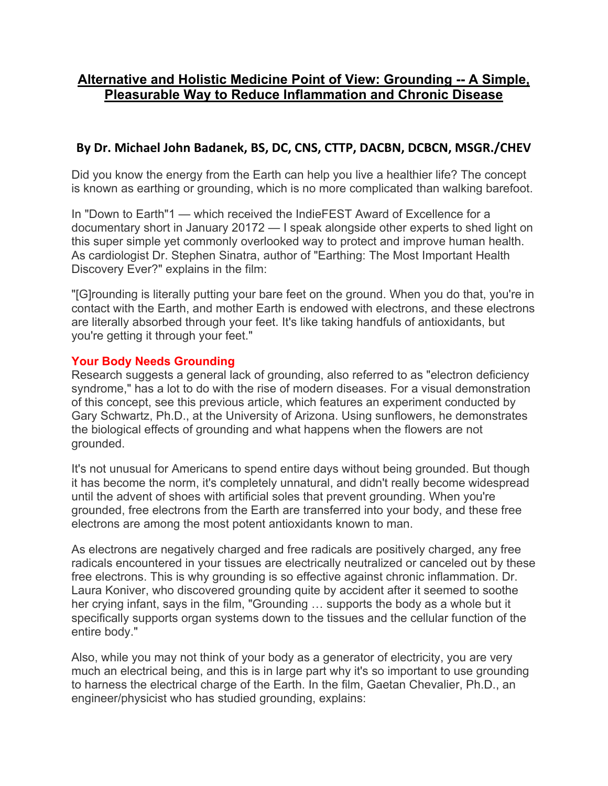# **Alternative and Holistic Medicine Point of View: Grounding -- A Simple, Pleasurable Way to Reduce Inflammation and Chronic Disease**

## **By Dr. Michael John Badanek, BS, DC, CNS, CTTP, DACBN, DCBCN, MSGR./CHEV**

Did you know the energy from the Earth can help you live a healthier life? The concept is known as earthing or grounding, which is no more complicated than walking barefoot.

In "Down to Earth"1 — which received the IndieFEST Award of Excellence for a documentary short in January 20172 — I speak alongside other experts to shed light on this super simple yet commonly overlooked way to protect and improve human health. As cardiologist Dr. Stephen Sinatra, author of "Earthing: The Most Important Health Discovery Ever?" explains in the film:

"[G]rounding is literally putting your bare feet on the ground. When you do that, you're in contact with the Earth, and mother Earth is endowed with electrons, and these electrons are literally absorbed through your feet. It's like taking handfuls of antioxidants, but you're getting it through your feet."

### **Your Body Needs Grounding**

Research suggests a general lack of grounding, also referred to as "electron deficiency syndrome," has a lot to do with the rise of modern diseases. For a visual demonstration of this concept, see this previous article, which features an experiment conducted by Gary Schwartz, Ph.D., at the University of Arizona. Using sunflowers, he demonstrates the biological effects of grounding and what happens when the flowers are not grounded.

It's not unusual for Americans to spend entire days without being grounded. But though it has become the norm, it's completely unnatural, and didn't really become widespread until the advent of shoes with artificial soles that prevent grounding. When you're grounded, free electrons from the Earth are transferred into your body, and these free electrons are among the most potent antioxidants known to man.

As electrons are negatively charged and free radicals are positively charged, any free radicals encountered in your tissues are electrically neutralized or canceled out by these free electrons. This is why grounding is so effective against chronic inflammation. Dr. Laura Koniver, who discovered grounding quite by accident after it seemed to soothe her crying infant, says in the film, "Grounding … supports the body as a whole but it specifically supports organ systems down to the tissues and the cellular function of the entire body."

Also, while you may not think of your body as a generator of electricity, you are very much an electrical being, and this is in large part why it's so important to use grounding to harness the electrical charge of the Earth. In the film, Gaetan Chevalier, Ph.D., an engineer/physicist who has studied grounding, explains: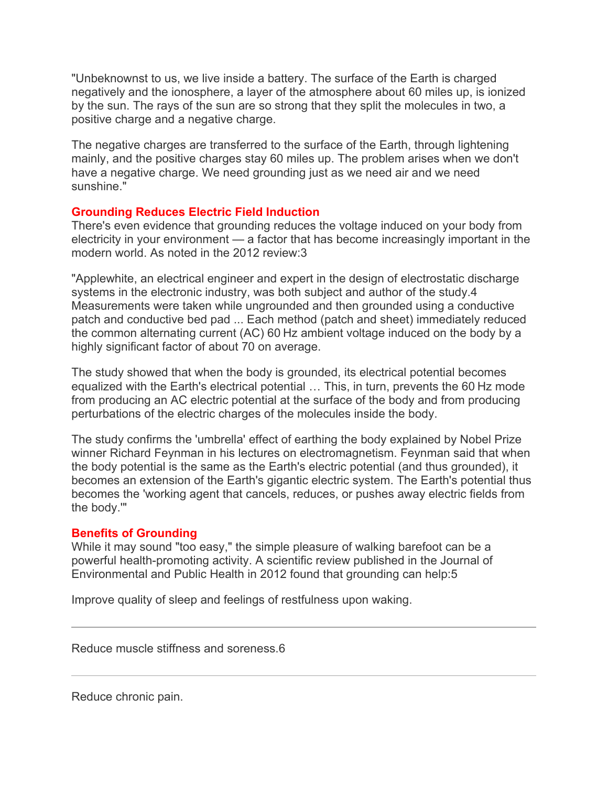"Unbeknownst to us, we live inside a battery. The surface of the Earth is charged negatively and the ionosphere, a layer of the atmosphere about 60 miles up, is ionized by the sun. The rays of the sun are so strong that they split the molecules in two, a positive charge and a negative charge.

The negative charges are transferred to the surface of the Earth, through lightening mainly, and the positive charges stay 60 miles up. The problem arises when we don't have a negative charge. We need grounding just as we need air and we need sunshine."

### **Grounding Reduces Electric Field Induction**

There's even evidence that grounding reduces the voltage induced on your body from electricity in your environment — a factor that has become increasingly important in the modern world. As noted in the 2012 review:3

"Applewhite, an electrical engineer and expert in the design of electrostatic discharge systems in the electronic industry, was both subject and author of the study.4 Measurements were taken while ungrounded and then grounded using a conductive patch and conductive bed pad ... Each method (patch and sheet) immediately reduced the common alternating current (AC) 60 Hz ambient voltage induced on the body by a highly significant factor of about 70 on average.

The study showed that when the body is grounded, its electrical potential becomes equalized with the Earth's electrical potential … This, in turn, prevents the 60 Hz mode from producing an AC electric potential at the surface of the body and from producing perturbations of the electric charges of the molecules inside the body.

The study confirms the 'umbrella' effect of earthing the body explained by Nobel Prize winner Richard Feynman in his lectures on electromagnetism. Feynman said that when the body potential is the same as the Earth's electric potential (and thus grounded), it becomes an extension of the Earth's gigantic electric system. The Earth's potential thus becomes the 'working agent that cancels, reduces, or pushes away electric fields from the body.'"

### **Benefits of Grounding**

While it may sound "too easy," the simple pleasure of walking barefoot can be a powerful health-promoting activity. A scientific review published in the Journal of Environmental and Public Health in 2012 found that grounding can help:5

Improve quality of sleep and feelings of restfulness upon waking.

Reduce muscle stiffness and soreness.6

Reduce chronic pain.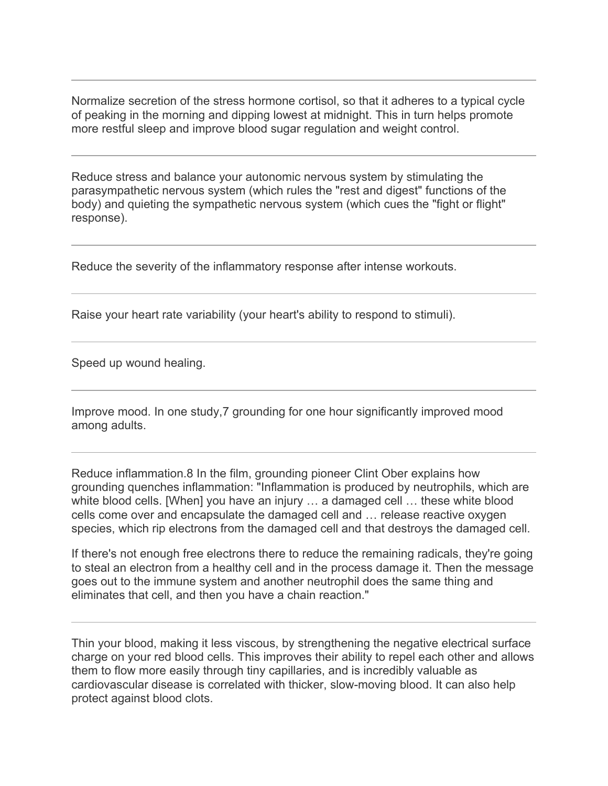Normalize secretion of the stress hormone cortisol, so that it adheres to a typical cycle of peaking in the morning and dipping lowest at midnight. This in turn helps promote more restful sleep and improve blood sugar regulation and weight control.

Reduce stress and balance your autonomic nervous system by stimulating the parasympathetic nervous system (which rules the "rest and digest" functions of the body) and quieting the sympathetic nervous system (which cues the "fight or flight" response).

Reduce the severity of the inflammatory response after intense workouts.

Raise your heart rate variability (your heart's ability to respond to stimuli).

Speed up wound healing.

Improve mood. In one study,7 grounding for one hour significantly improved mood among adults.

Reduce inflammation.8 In the film, grounding pioneer Clint Ober explains how grounding quenches inflammation: "Inflammation is produced by neutrophils, which are white blood cells. [When] you have an injury … a damaged cell … these white blood cells come over and encapsulate the damaged cell and … release reactive oxygen species, which rip electrons from the damaged cell and that destroys the damaged cell.

If there's not enough free electrons there to reduce the remaining radicals, they're going to steal an electron from a healthy cell and in the process damage it. Then the message goes out to the immune system and another neutrophil does the same thing and eliminates that cell, and then you have a chain reaction."

Thin your blood, making it less viscous, by strengthening the negative electrical surface charge on your red blood cells. This improves their ability to repel each other and allows them to flow more easily through tiny capillaries, and is incredibly valuable as cardiovascular disease is correlated with thicker, slow-moving blood. It can also help protect against blood clots.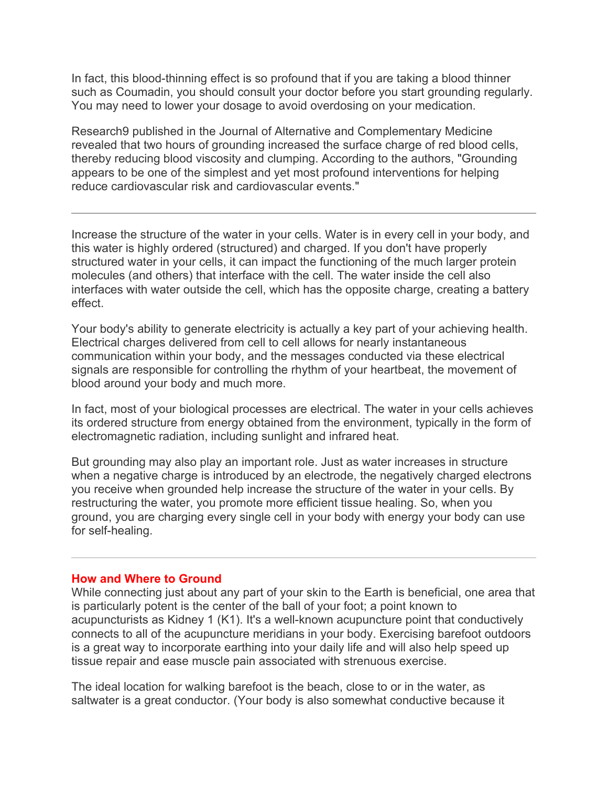In fact, this blood-thinning effect is so profound that if you are taking a blood thinner such as Coumadin, you should consult your doctor before you start grounding regularly. You may need to lower your dosage to avoid overdosing on your medication.

Research9 published in the Journal of Alternative and Complementary Medicine revealed that two hours of grounding increased the surface charge of red blood cells, thereby reducing blood viscosity and clumping. According to the authors, "Grounding appears to be one of the simplest and yet most profound interventions for helping reduce cardiovascular risk and cardiovascular events."

Increase the structure of the water in your cells. Water is in every cell in your body, and this water is highly ordered (structured) and charged. If you don't have properly structured water in your cells, it can impact the functioning of the much larger protein molecules (and others) that interface with the cell. The water inside the cell also interfaces with water outside the cell, which has the opposite charge, creating a battery effect.

Your body's ability to generate electricity is actually a key part of your achieving health. Electrical charges delivered from cell to cell allows for nearly instantaneous communication within your body, and the messages conducted via these electrical signals are responsible for controlling the rhythm of your heartbeat, the movement of blood around your body and much more.

In fact, most of your biological processes are electrical. The water in your cells achieves its ordered structure from energy obtained from the environment, typically in the form of electromagnetic radiation, including sunlight and infrared heat.

But grounding may also play an important role. Just as water increases in structure when a negative charge is introduced by an electrode, the negatively charged electrons you receive when grounded help increase the structure of the water in your cells. By restructuring the water, you promote more efficient tissue healing. So, when you ground, you are charging every single cell in your body with energy your body can use for self-healing.

#### **How and Where to Ground**

While connecting just about any part of your skin to the Earth is beneficial, one area that is particularly potent is the center of the ball of your foot; a point known to acupuncturists as Kidney 1 (K1). It's a well-known acupuncture point that conductively connects to all of the acupuncture meridians in your body. Exercising barefoot outdoors is a great way to incorporate earthing into your daily life and will also help speed up tissue repair and ease muscle pain associated with strenuous exercise.

The ideal location for walking barefoot is the beach, close to or in the water, as saltwater is a great conductor. (Your body is also somewhat conductive because it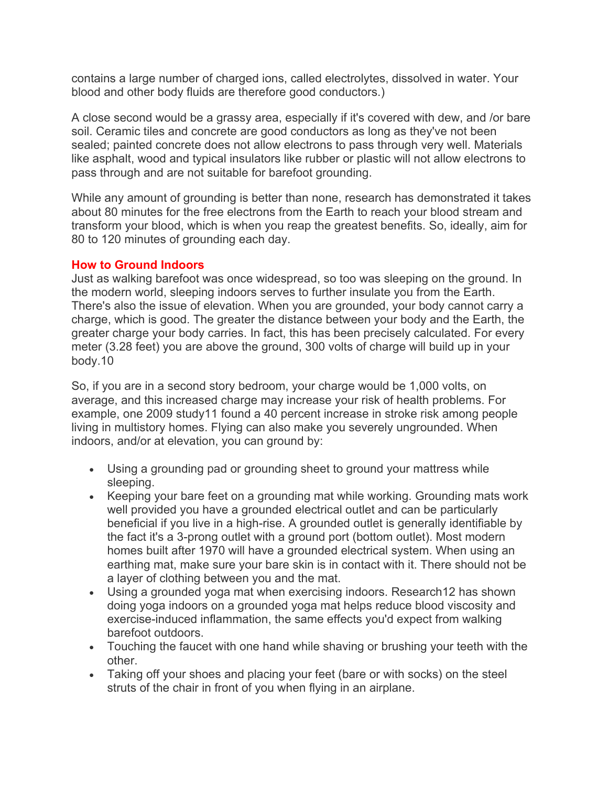contains a large number of charged ions, called electrolytes, dissolved in water. Your blood and other body fluids are therefore good conductors.)

A close second would be a grassy area, especially if it's covered with dew, and /or bare soil. Ceramic tiles and concrete are good conductors as long as they've not been sealed; painted concrete does not allow electrons to pass through very well. Materials like asphalt, wood and typical insulators like rubber or plastic will not allow electrons to pass through and are not suitable for barefoot grounding.

While any amount of grounding is better than none, research has demonstrated it takes about 80 minutes for the free electrons from the Earth to reach your blood stream and transform your blood, which is when you reap the greatest benefits. So, ideally, aim for 80 to 120 minutes of grounding each day.

### **How to Ground Indoors**

Just as walking barefoot was once widespread, so too was sleeping on the ground. In the modern world, sleeping indoors serves to further insulate you from the Earth. There's also the issue of elevation. When you are grounded, your body cannot carry a charge, which is good. The greater the distance between your body and the Earth, the greater charge your body carries. In fact, this has been precisely calculated. For every meter (3.28 feet) you are above the ground, 300 volts of charge will build up in your body.10

So, if you are in a second story bedroom, your charge would be 1,000 volts, on average, and this increased charge may increase your risk of health problems. For example, one 2009 study11 found a 40 percent increase in stroke risk among people living in multistory homes. Flying can also make you severely ungrounded. When indoors, and/or at elevation, you can ground by:

- Using a grounding pad or grounding sheet to ground your mattress while sleeping.
- Keeping your bare feet on a grounding mat while working. Grounding mats work well provided you have a grounded electrical outlet and can be particularly beneficial if you live in a high-rise. A grounded outlet is generally identifiable by the fact it's a 3-prong outlet with a ground port (bottom outlet). Most modern homes built after 1970 will have a grounded electrical system. When using an earthing mat, make sure your bare skin is in contact with it. There should not be a layer of clothing between you and the mat.
- Using a grounded yoga mat when exercising indoors. Research12 has shown doing yoga indoors on a grounded yoga mat helps reduce blood viscosity and exercise-induced inflammation, the same effects you'd expect from walking barefoot outdoors.
- Touching the faucet with one hand while shaving or brushing your teeth with the other.
- Taking off your shoes and placing your feet (bare or with socks) on the steel struts of the chair in front of you when flying in an airplane.